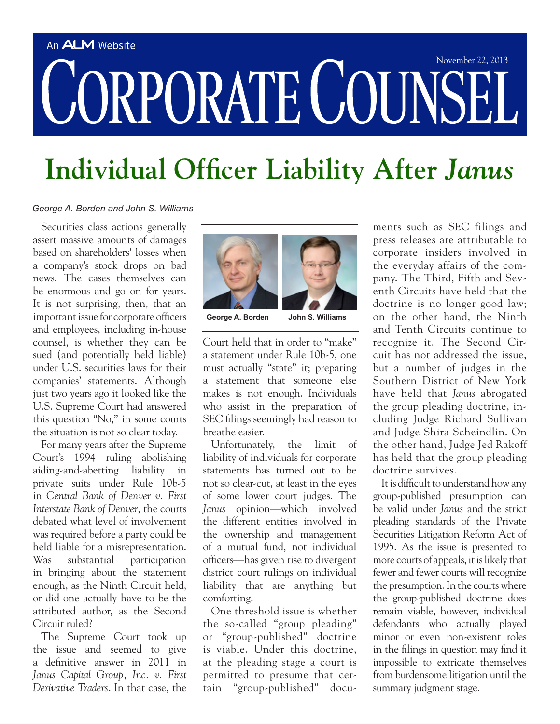## An **ALM** Website CORPORATE COUNSEI

## **Individual Officer Liability After** *Janus*

## *George A. Borden and John S. Williams*

Securities class actions generally assert massive amounts of damages based on shareholders' losses when a company's stock drops on bad news. The cases themselves can be enormous and go on for years. It is not surprising, then, that an important issue for corporate officers and employees, including in-house counsel, is whether they can be sued (and potentially held liable) under U.S. securities laws for their companies' statements. Although just two years ago it looked like the U.S. Supreme Court had answered this question "No," in some courts the situation is not so clear today.

For many years after the Supreme Court's 1994 ruling abolishing aiding-and-abetting liability in private suits under Rule 10b-5 in *Central Bank of Denver v. First Interstate Bank of Denver,* the courts debated what level of involvement was required before a party could be held liable for a misrepresentation. Was substantial participation in bringing about the statement enough, as the Ninth Circuit held, or did one actually have to be the attributed author, as the Second Circuit ruled?

The Supreme Court took up the issue and seemed to give a definitive answer in 2011 in *Janus Capital Group, Inc. v. First Derivative Traders*. In that case, the



**George A. Borden John S. Williams** 

Court held that in order to "make" a statement under Rule 10b-5, one must actually "state" it; preparing a statement that someone else makes is not enough. Individuals who assist in the preparation of SEC filings seemingly had reason to breathe easier.

Unfortunately, the limit of liability of individuals for corporate statements has turned out to be not so clear-cut, at least in the eyes of some lower court judges. The *Janus* opinion—which involved the different entities involved in the ownership and management of a mutual fund, not individual officers—has given rise to divergent district court rulings on individual liability that are anything but comforting.

One threshold issue is whether the so-called "group pleading" or "group-published" doctrine is viable. Under this doctrine, at the pleading stage a court is permitted to presume that certain "group-published" docu-

ments such as SEC filings and press releases are attributable to corporate insiders involved in the everyday affairs of the company. The Third, Fifth and Seventh Circuits have held that the doctrine is no longer good law: on the other hand, the Ninth and Tenth Circuits continue to recognize it. The Second Circuit has not addressed the issue, but a number of judges in the Southern District of New York have held that *Janus* abrogated the group pleading doctrine, including Judge Richard Sullivan and Judge Shira Scheindlin. On the other hand, Judge Jed Rakoff has held that the group pleading doctrine survives.

It is difficult to understand how any group-published presumption can be valid under *Janus* and the strict pleading standards of the Private Securities Litigation Reform Act of 1995. As the issue is presented to more courts of appeals, it is likely that fewer and fewer courts will recognize the presumption. In the courts where the group-published doctrine does remain viable, however, individual defendants who actually played minor or even non-existent roles in the filings in question may find it impossible to extricate themselves from burdensome litigation until the summary judgment stage.